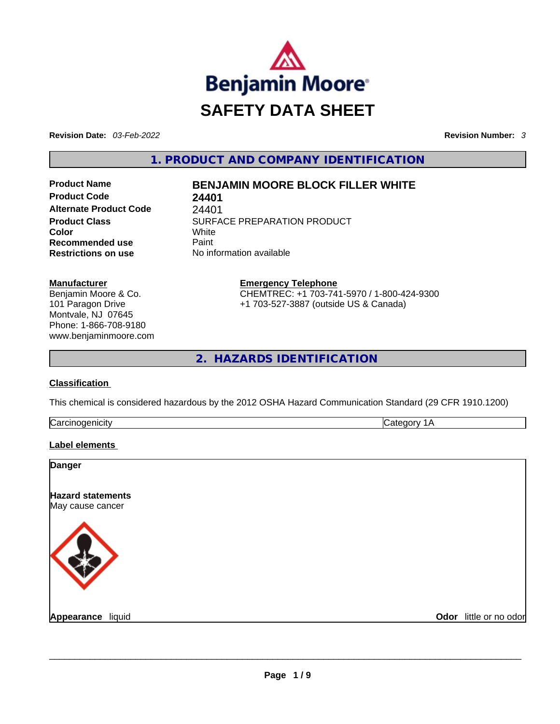

**Revision Date:** *03-Feb-2022* **Revision Number:** *3*

**1. PRODUCT AND COMPANY IDENTIFICATION** 

**Product Code 24401 Alternate Product Code** 24401 **Color** White **Recommended use Paint Restrictions on use** No information available

# **Product Name BENJAMIN MOORE BLOCK FILLER WHITE**

**Product Class SURFACE PREPARATION PRODUCT** 

**Manufacturer**

Benjamin Moore & Co. 101 Paragon Drive Montvale, NJ 07645 Phone: 1-866-708-9180 www.benjaminmoore.com **Emergency Telephone** CHEMTREC: +1 703-741-5970 / 1-800-424-9300 +1 703-527-3887 (outside US & Canada)

**2. HAZARDS IDENTIFICATION** 

### **Classification**

This chemical is considered hazardous by the 2012 OSHA Hazard Communication Standard (29 CFR 1910.1200)

| הו<br>แลา<br>. v |  |
|------------------|--|
|                  |  |

### **Label elements**

| Odor_little or no odor |
|------------------------|
|                        |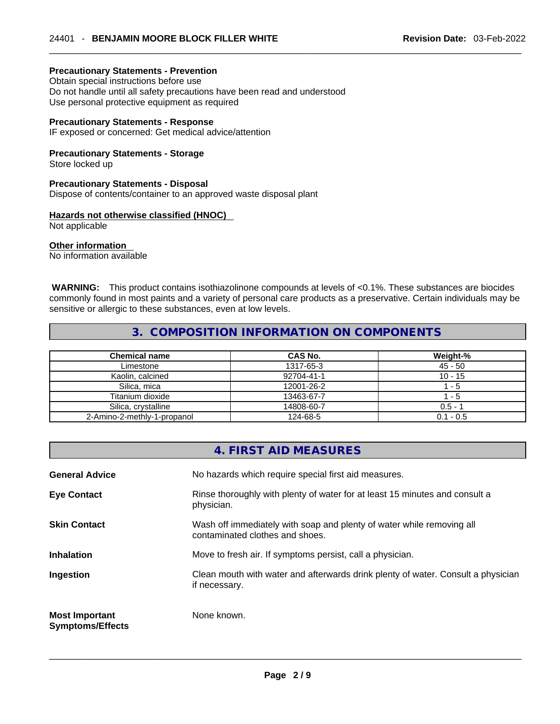### **Precautionary Statements - Prevention**

Obtain special instructions before use Do not handle until all safety precautions have been read and understood Use personal protective equipment as required

#### **Precautionary Statements - Response**

IF exposed or concerned: Get medical advice/attention

#### **Precautionary Statements - Storage**

Store locked up

#### **Precautionary Statements - Disposal**

Dispose of contents/container to an approved waste disposal plant

### **Hazards not otherwise classified (HNOC)**

Not applicable

### **Other information**

No information available

 **WARNING:** This product contains isothiazolinone compounds at levels of <0.1%. These substances are biocides commonly found in most paints and a variety of personal care products as a preservative. Certain individuals may be sensitive or allergic to these substances, even at low levels.

### **3. COMPOSITION INFORMATION ON COMPONENTS**

| <b>Chemical name</b>        | CAS No.    | Weight-%    |
|-----------------------------|------------|-------------|
| Limestone                   | 1317-65-3  | $45 - 50$   |
| Kaolin, calcined            | 92704-41-1 | $10 - 15$   |
| Silica, mica                | 12001-26-2 | - 5         |
| Titanium dioxide            | 13463-67-7 | - 5         |
| Silica, crystalline         | 14808-60-7 | $0.5 - 1$   |
| 2-Amino-2-methly-1-propanol | 124-68-5   | $0.1 - 0.5$ |

### **4. FIRST AID MEASURES**

| <b>General Advice</b>                            | No hazards which require special first aid measures.                                                     |
|--------------------------------------------------|----------------------------------------------------------------------------------------------------------|
| <b>Eye Contact</b>                               | Rinse thoroughly with plenty of water for at least 15 minutes and consult a<br>physician.                |
| <b>Skin Contact</b>                              | Wash off immediately with soap and plenty of water while removing all<br>contaminated clothes and shoes. |
| <b>Inhalation</b>                                | Move to fresh air. If symptoms persist, call a physician.                                                |
| Ingestion                                        | Clean mouth with water and afterwards drink plenty of water. Consult a physician<br>if necessary.        |
| <b>Most Important</b><br><b>Symptoms/Effects</b> | None known.                                                                                              |
|                                                  |                                                                                                          |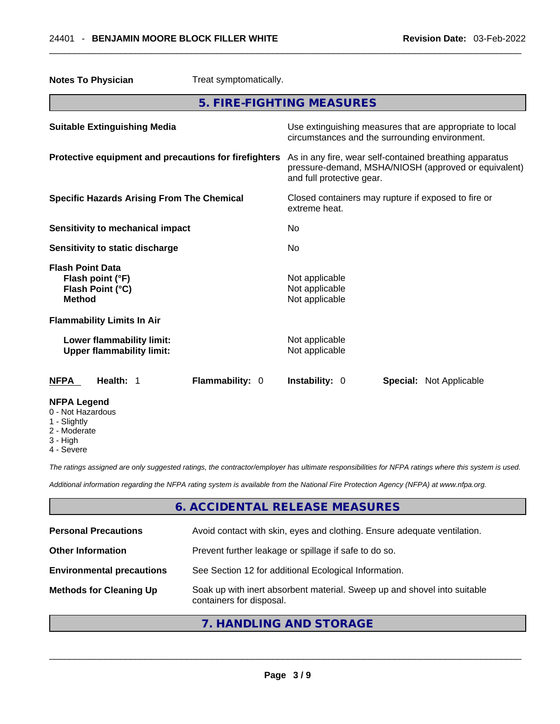| <b>Notes To Physician</b><br>Treat symptomatically.                              |                                                                                                                                              |
|----------------------------------------------------------------------------------|----------------------------------------------------------------------------------------------------------------------------------------------|
|                                                                                  | 5. FIRE-FIGHTING MEASURES                                                                                                                    |
| <b>Suitable Extinguishing Media</b>                                              | Use extinguishing measures that are appropriate to local<br>circumstances and the surrounding environment.                                   |
| Protective equipment and precautions for firefighters                            | As in any fire, wear self-contained breathing apparatus<br>pressure-demand, MSHA/NIOSH (approved or equivalent)<br>and full protective gear. |
| <b>Specific Hazards Arising From The Chemical</b>                                | Closed containers may rupture if exposed to fire or<br>extreme heat.                                                                         |
| <b>Sensitivity to mechanical impact</b>                                          | No                                                                                                                                           |
| Sensitivity to static discharge                                                  | No                                                                                                                                           |
| <b>Flash Point Data</b><br>Flash point (°F)<br>Flash Point (°C)<br><b>Method</b> | Not applicable<br>Not applicable<br>Not applicable                                                                                           |
| <b>Flammability Limits In Air</b>                                                |                                                                                                                                              |
| Lower flammability limit:<br><b>Upper flammability limit:</b>                    | Not applicable<br>Not applicable                                                                                                             |
| <b>NFPA</b><br>Health: 1<br>Flammability: 0                                      | <b>Instability: 0</b><br><b>Special: Not Applicable</b>                                                                                      |
| <b>NFPA Legend</b><br>0 - Not Hazardous<br>1 - Slightly                          |                                                                                                                                              |

- 
- 2 Moderate
- 3 High
- 4 Severe

*The ratings assigned are only suggested ratings, the contractor/employer has ultimate responsibilities for NFPA ratings where this system is used.* 

*Additional information regarding the NFPA rating system is available from the National Fire Protection Agency (NFPA) at www.nfpa.org.* 

# **6. ACCIDENTAL RELEASE MEASURES**

| <b>Personal Precautions</b>      | Avoid contact with skin, eyes and clothing. Ensure adequate ventilation.                             |
|----------------------------------|------------------------------------------------------------------------------------------------------|
| <b>Other Information</b>         | Prevent further leakage or spillage if safe to do so.                                                |
| <b>Environmental precautions</b> | See Section 12 for additional Ecological Information.                                                |
| <b>Methods for Cleaning Up</b>   | Soak up with inert absorbent material. Sweep up and shovel into suitable<br>containers for disposal. |
|                                  |                                                                                                      |

### **7. HANDLING AND STORAGE**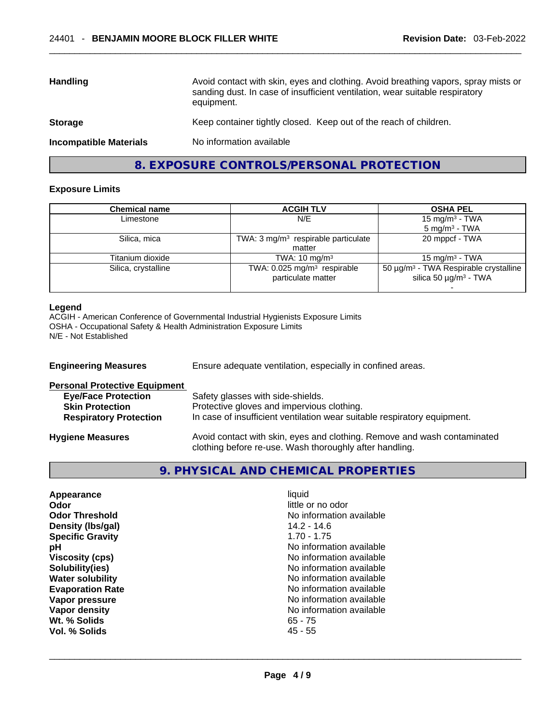| <b>Handling</b>               | Avoid contact with skin, eyes and clothing. Avoid breathing vapors, spray mists or<br>sanding dust. In case of insufficient ventilation, wear suitable respiratory<br>equipment. |
|-------------------------------|----------------------------------------------------------------------------------------------------------------------------------------------------------------------------------|
| <b>Storage</b>                | Keep container tightly closed. Keep out of the reach of children.                                                                                                                |
| <b>Incompatible Materials</b> | No information available                                                                                                                                                         |

### **8. EXPOSURE CONTROLS/PERSONAL PROTECTION**

#### **Exposure Limits**

| <b>Chemical name</b> | <b>ACGIH TLV</b>                               | <b>OSHA PEL</b>                                   |
|----------------------|------------------------------------------------|---------------------------------------------------|
| Limestone            | N/E                                            | 15 mg/m <sup>3</sup> - TWA                        |
|                      |                                                | $5 \text{ ma/m}^3$ - TWA                          |
| Silica, mica         | TWA: $3 \text{ mg/m}^3$ respirable particulate | 20 mppcf - TWA                                    |
|                      | matter                                         |                                                   |
| Titanium dioxide     | TWA: $10 \text{ mg/m}^3$                       | $15 \text{ mg/m}^3$ - TWA                         |
| Silica, crystalline  | TWA: 0.025 mg/m <sup>3</sup> respirable        | 50 µg/m <sup>3</sup> - TWA Respirable crystalline |
|                      | particulate matter                             | silica 50 $\mu$ g/m <sup>3</sup> - TWA            |
|                      |                                                |                                                   |

#### **Legend**

ACGIH - American Conference of Governmental Industrial Hygienists Exposure Limits OSHA - Occupational Safety & Health Administration Exposure Limits N/E - Not Established

**Engineering Measures** Ensure adequate ventilation, especially in confined areas. **Personal Protective Equipment Eye/Face Protection** Safety glasses with side-shields.<br> **Skin Protection** Protective gloves and impervious **Skin Protection**<br> **Respiratory Protection**<br> **In case of insufficient ventilation wear suitally** In case of insufficient ventilation wear suitable respiratory equipment. **Hygiene Measures** Avoid contact with skin, eyes and clothing. Remove and wash contaminated clothing before re-use. Wash thoroughly after handling.

**9. PHYSICAL AND CHEMICAL PROPERTIES** 

| Appearance              | liquid                   |  |
|-------------------------|--------------------------|--|
| Odor                    | little or no odor        |  |
| <b>Odor Threshold</b>   | No information available |  |
| Density (Ibs/gal)       | $14.2 - 14.6$            |  |
| <b>Specific Gravity</b> | $1.70 - 1.75$            |  |
| рH                      | No information available |  |
| <b>Viscosity (cps)</b>  | No information available |  |
| Solubility(ies)         | No information available |  |
| <b>Water solubility</b> | No information available |  |
| <b>Evaporation Rate</b> | No information available |  |
| Vapor pressure          | No information available |  |
| Vapor density           | No information available |  |
| Wt. % Solids            | $65 - 75$                |  |
| Vol. % Solids           | $45 - 55$                |  |
|                         |                          |  |
|                         |                          |  |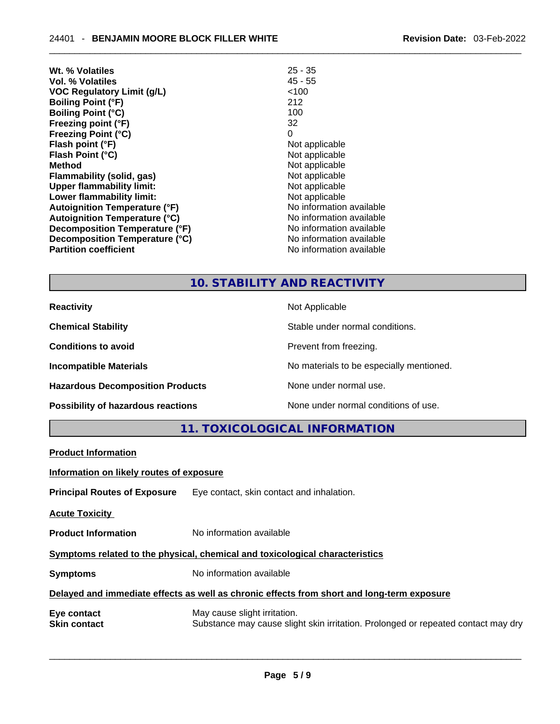| Wt. % Volatiles                      | $25 - 35$                |
|--------------------------------------|--------------------------|
| Vol. % Volatiles                     | $45 - 55$                |
| <b>VOC Regulatory Limit (g/L)</b>    | <100                     |
| <b>Boiling Point (°F)</b>            | 212                      |
| <b>Boiling Point (°C)</b>            | 100                      |
| Freezing point (°F)                  | 32                       |
| <b>Freezing Point (°C)</b>           | 0                        |
| Flash point (°F)                     | Not applicable           |
| Flash Point (°C)                     | Not applicable           |
| <b>Method</b>                        | Not applicable           |
| Flammability (solid, gas)            | Not applicable           |
| <b>Upper flammability limit:</b>     | Not applicable           |
| Lower flammability limit:            | Not applicable           |
| <b>Autoignition Temperature (°F)</b> | No information available |
| <b>Autoignition Temperature (°C)</b> | No information available |
| Decomposition Temperature (°F)       | No information available |
| Decomposition Temperature (°C)       | No information available |
| <b>Partition coefficient</b>         | No information available |

# **10. STABILITY AND REACTIVITY**

| <b>Reactivity</b>                       | Not Applicable                           |
|-----------------------------------------|------------------------------------------|
| <b>Chemical Stability</b>               | Stable under normal conditions.          |
| <b>Conditions to avoid</b>              | Prevent from freezing.                   |
| <b>Incompatible Materials</b>           | No materials to be especially mentioned. |
| <b>Hazardous Decomposition Products</b> | None under normal use.                   |
| Possibility of hazardous reactions      | None under normal conditions of use.     |

**11. TOXICOLOGICAL INFORMATION** 

| <b>Product Information</b>                                                                 |                                                                                                                   |  |
|--------------------------------------------------------------------------------------------|-------------------------------------------------------------------------------------------------------------------|--|
| Information on likely routes of exposure                                                   |                                                                                                                   |  |
|                                                                                            | <b>Principal Routes of Exposure</b> Eye contact, skin contact and inhalation.                                     |  |
| <b>Acute Toxicity</b>                                                                      |                                                                                                                   |  |
| <b>Product Information</b>                                                                 | No information available                                                                                          |  |
| Symptoms related to the physical, chemical and toxicological characteristics               |                                                                                                                   |  |
| <b>Symptoms</b>                                                                            | No information available                                                                                          |  |
| Delayed and immediate effects as well as chronic effects from short and long-term exposure |                                                                                                                   |  |
| Eye contact<br><b>Skin contact</b>                                                         | May cause slight irritation.<br>Substance may cause slight skin irritation. Prolonged or repeated contact may dry |  |
|                                                                                            |                                                                                                                   |  |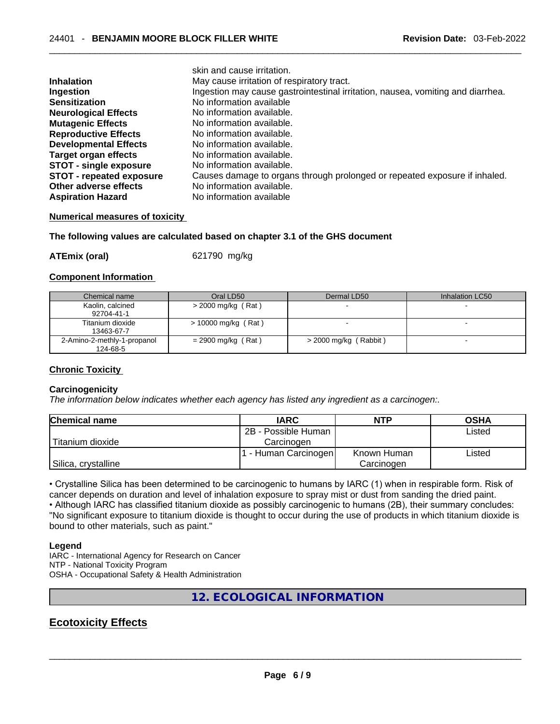|                                 | skin and cause irritation.                                                      |
|---------------------------------|---------------------------------------------------------------------------------|
| <b>Inhalation</b>               | May cause irritation of respiratory tract.                                      |
| Ingestion                       | Ingestion may cause gastrointestinal irritation, nausea, vomiting and diarrhea. |
| <b>Sensitization</b>            | No information available                                                        |
| <b>Neurological Effects</b>     | No information available.                                                       |
| <b>Mutagenic Effects</b>        | No information available.                                                       |
| <b>Reproductive Effects</b>     | No information available.                                                       |
| <b>Developmental Effects</b>    | No information available.                                                       |
| Target organ effects            | No information available.                                                       |
| <b>STOT - single exposure</b>   | No information available.                                                       |
| <b>STOT - repeated exposure</b> | Causes damage to organs through prolonged or repeated exposure if inhaled.      |
| Other adverse effects           | No information available.                                                       |
| <b>Aspiration Hazard</b>        | No information available                                                        |

#### **Numerical measures of toxicity**

#### **The following values are calculated based on chapter 3.1 of the GHS document**

**ATEmix (oral)** 621790 mg/kg

#### **Component Information**

| Chemical name               | Oral LD50             | Dermal LD50             | Inhalation LC50          |
|-----------------------------|-----------------------|-------------------------|--------------------------|
| Kaolin, calcined            | $>$ 2000 mg/kg (Rat)  |                         |                          |
| 92704-41-1                  |                       |                         |                          |
| Titanium dioxide            | $> 10000$ mg/kg (Rat) |                         | $\overline{\phantom{a}}$ |
| 13463-67-7                  |                       |                         |                          |
| 2-Amino-2-methly-1-propanol | $= 2900$ mg/kg (Rat)  | $>$ 2000 mg/kg (Rabbit) |                          |
| 124-68-5                    |                       |                         |                          |

### **Chronic Toxicity**

### **Carcinogenicity**

*The information below indicates whether each agency has listed any ingredient as a carcinogen:.* 

| <b>Chemical name</b> | <b>IARC</b>          | <b>NTP</b>  | OSHA   |
|----------------------|----------------------|-------------|--------|
|                      | 2B - Possible Human  |             | Listed |
| l Titanium dioxide   | Carcinogen           |             |        |
|                      | 1 - Human Carcinogen | Known Human | Listed |
| Silica, crystalline  |                      | Carcinogen  |        |

• Crystalline Silica has been determined to be carcinogenic to humans by IARC (1) when in respirable form. Risk of cancer depends on duration and level of inhalation exposure to spray mist or dust from sanding the dried paint.

• Although IARC has classified titanium dioxide as possibly carcinogenic to humans (2B), their summary concludes:

"No significant exposure to titanium dioxide is thought to occur during the use of products in which titanium dioxide is bound to other materials, such as paint."

#### **Legend**

IARC - International Agency for Research on Cancer NTP - National Toxicity Program OSHA - Occupational Safety & Health Administration

# **12. ECOLOGICAL INFORMATION**

# **Ecotoxicity Effects**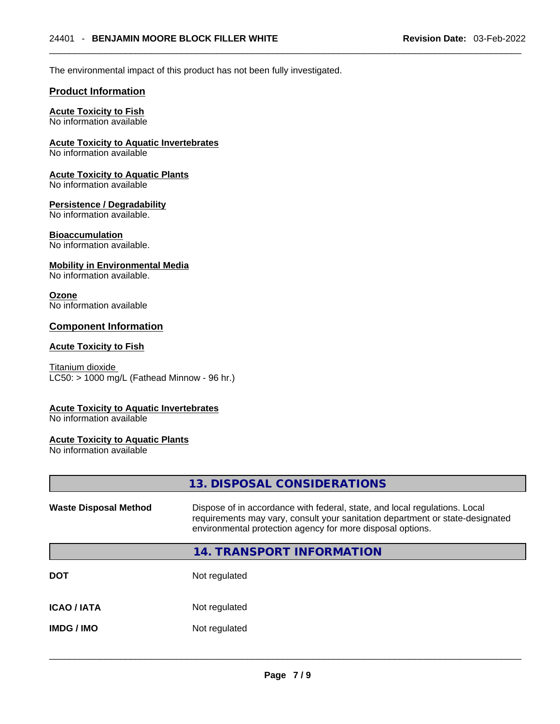The environmental impact of this product has not been fully investigated.

### **Product Information**

### **Acute Toxicity to Fish**

No information available

### **Acute Toxicity to Aquatic Invertebrates**

No information available

# **Acute Toxicity to Aquatic Plants**

No information available

### **Persistence / Degradability**

No information available.

### **Bioaccumulation**

No information available.

### **Mobility in Environmental Media**

No information available.

### **Ozone**

No information available

### **Component Information**

### **Acute Toxicity to Fish**

Titanium dioxide  $LC50: > 1000$  mg/L (Fathead Minnow - 96 hr.)

### **Acute Toxicity to Aquatic Invertebrates**

No information available

### **Acute Toxicity to Aquatic Plants**

No information available

|                              | 13. DISPOSAL CONSIDERATIONS                                                                                                                                                                                               |
|------------------------------|---------------------------------------------------------------------------------------------------------------------------------------------------------------------------------------------------------------------------|
| <b>Waste Disposal Method</b> | Dispose of in accordance with federal, state, and local regulations. Local<br>requirements may vary, consult your sanitation department or state-designated<br>environmental protection agency for more disposal options. |
|                              | <b>14. TRANSPORT INFORMATION</b>                                                                                                                                                                                          |
| DOT                          | Not regulated                                                                                                                                                                                                             |
| ICAO / IATA                  | Not regulated                                                                                                                                                                                                             |
| IMDG / IMO                   | Not regulated                                                                                                                                                                                                             |
|                              |                                                                                                                                                                                                                           |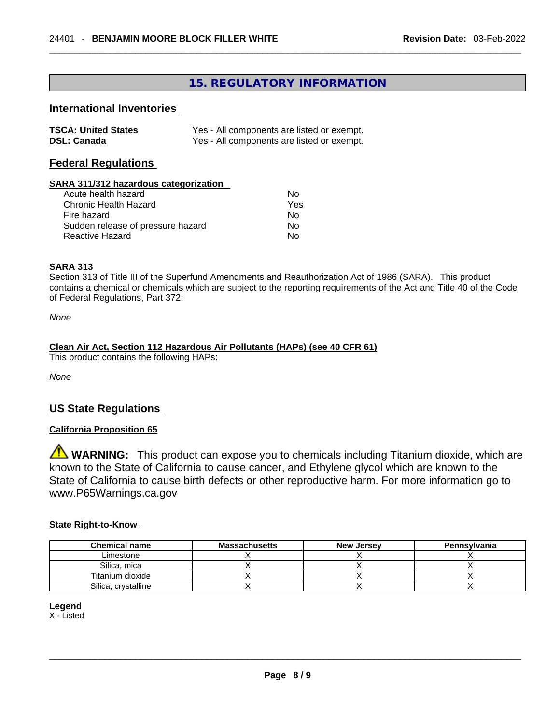# **15. REGULATORY INFORMATION**

### **International Inventories**

| <b>TSCA: United States</b> | Yes - All components are listed or exempt. |
|----------------------------|--------------------------------------------|
| <b>DSL: Canada</b>         | Yes - All components are listed or exempt. |

### **Federal Regulations**

### **SARA 311/312 hazardous categorization**

| Acute health hazard               | Nο  |
|-----------------------------------|-----|
| Chronic Health Hazard             | Yes |
| Fire hazard                       | Nο  |
| Sudden release of pressure hazard | Nο  |
| Reactive Hazard                   | N٥  |

### **SARA 313**

Section 313 of Title III of the Superfund Amendments and Reauthorization Act of 1986 (SARA). This product contains a chemical or chemicals which are subject to the reporting requirements of the Act and Title 40 of the Code of Federal Regulations, Part 372:

*None*

### **Clean Air Act,Section 112 Hazardous Air Pollutants (HAPs) (see 40 CFR 61)**

This product contains the following HAPs:

*None*

### **US State Regulations**

### **California Proposition 65**

**WARNING:** This product can expose you to chemicals including Titanium dioxide, which are known to the State of California to cause cancer, and Ethylene glycol which are known to the State of California to cause birth defects or other reproductive harm. For more information go to www.P65Warnings.ca.gov

### **State Right-to-Know**

| <b>Chemical name</b> | <b>Massachusetts</b> | <b>New Jersey</b> | Pennsylvania |
|----------------------|----------------------|-------------------|--------------|
| Limestone            |                      |                   |              |
| Silica, mica         |                      |                   |              |
| Titanium dioxide     |                      |                   |              |
| Silica, crystalline  |                      |                   |              |

### **Legend**

X - Listed